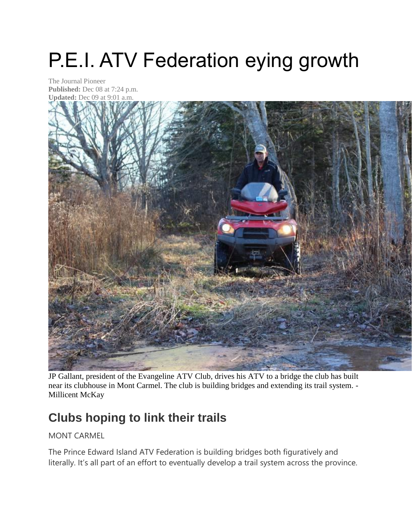## P.E.I. ATV Federation eying growth

The Journal Pioneer **Published:** Dec 08 at 7:24 p.m. **Updated:** Dec 09 at 9:01 a.m.



JP Gallant, president of the Evangeline ATV Club, drives his ATV to a bridge the club has built near its clubhouse in Mont Carmel. The club is building bridges and extending its trail system. - Millicent McKay

## **Clubs hoping to link their trails**

MONT CARMEL

The Prince Edward Island ATV Federation is building bridges both figuratively and literally. It's all part of an effort to eventually develop a trail system across the province.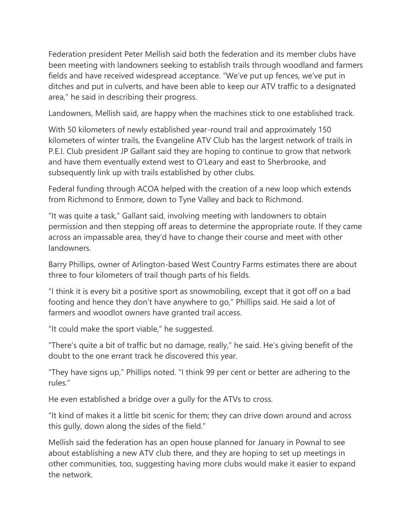Federation president Peter Mellish said both the federation and its member clubs have been meeting with landowners seeking to establish trails through woodland and farmers fields and have received widespread acceptance. "We've put up fences, we've put in ditches and put in culverts, and have been able to keep our ATV traffic to a designated area," he said in describing their progress.

Landowners, Mellish said, are happy when the machines stick to one established track.

With 50 kilometers of newly established year-round trail and approximately 150 kilometers of winter trails, the Evangeline ATV Club has the largest network of trails in P.E.I. Club president JP Gallant said they are hoping to continue to grow that network and have them eventually extend west to O'Leary and east to Sherbrooke, and subsequently link up with trails established by other clubs.

Federal funding through ACOA helped with the creation of a new loop which extends from Richmond to Enmore, down to Tyne Valley and back to Richmond.

"It was quite a task," Gallant said, involving meeting with landowners to obtain permission and then stepping off areas to determine the appropriate route. If they came across an impassable area, they'd have to change their course and meet with other landowners.

Barry Phillips, owner of Arlington-based West Country Farms estimates there are about three to four kilometers of trail though parts of his fields.

"I think it is every bit a positive sport as snowmobiling, except that it got off on a bad footing and hence they don't have anywhere to go," Phillips said. He said a lot of farmers and woodlot owners have granted trail access.

"It could make the sport viable," he suggested.

"There's quite a bit of traffic but no damage, really," he said. He's giving benefit of the doubt to the one errant track he discovered this year.

"They have signs up," Phillips noted. "I think 99 per cent or better are adhering to the rules."

He even established a bridge over a gully for the ATVs to cross.

"It kind of makes it a little bit scenic for them; they can drive down around and across this gully, down along the sides of the field."

Mellish said the federation has an open house planned for January in Pownal to see about establishing a new ATV club there, and they are hoping to set up meetings in other communities, too, suggesting having more clubs would make it easier to expand the network.